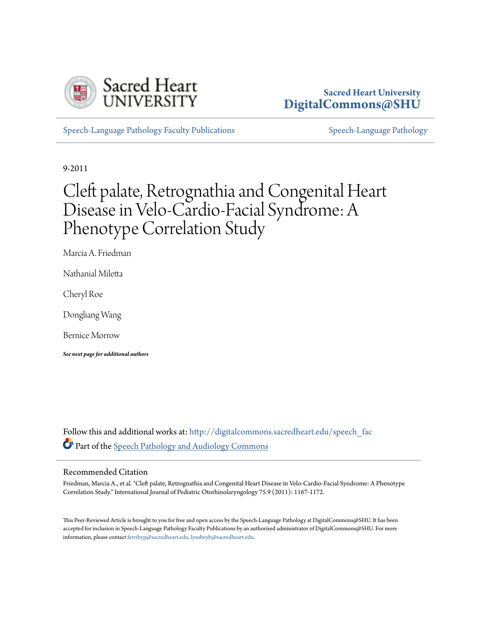

## **Sacred Heart University [DigitalCommons@SHU](http://digitalcommons.sacredheart.edu?utm_source=digitalcommons.sacredheart.edu%2Fspeech_fac%2F78&utm_medium=PDF&utm_campaign=PDFCoverPages)**

[Speech-Language Pathology Faculty Publications](http://digitalcommons.sacredheart.edu/speech_fac?utm_source=digitalcommons.sacredheart.edu%2Fspeech_fac%2F78&utm_medium=PDF&utm_campaign=PDFCoverPages) [Speech-Language Pathology](http://digitalcommons.sacredheart.edu/speech?utm_source=digitalcommons.sacredheart.edu%2Fspeech_fac%2F78&utm_medium=PDF&utm_campaign=PDFCoverPages)

9-2011

# Cleft palate, Retrognathia and Congenital Heart Disease in Velo-Cardio-Facial Syndrome: A Phenotype Correlation Study

Marcia A. Friedman

Nathanial Miletta

Cheryl Roe

Dongliang Wang

Bernice Morrow

*See next page for additional authors*

Follow this and additional works at: [http://digitalcommons.sacredheart.edu/speech\\_fac](http://digitalcommons.sacredheart.edu/speech_fac?utm_source=digitalcommons.sacredheart.edu%2Fspeech_fac%2F78&utm_medium=PDF&utm_campaign=PDFCoverPages) Part of the [Speech Pathology and Audiology Commons](http://network.bepress.com/hgg/discipline/1035?utm_source=digitalcommons.sacredheart.edu%2Fspeech_fac%2F78&utm_medium=PDF&utm_campaign=PDFCoverPages)

## Recommended Citation

Friedman, Marcia A., et al. "Cleft palate, Retrognathia and Congenital Heart Disease in Velo-Cardio-Facial Syndrome: A Phenotype Correlation Study." International Journal of Pediatric Otorhinolaryngology 75.9 (2011): 1167-1172.

This Peer-Reviewed Article is brought to you for free and open access by the Speech-Language Pathology at DigitalCommons@SHU. It has been accepted for inclusion in Speech-Language Pathology Faculty Publications by an authorized administrator of DigitalCommons@SHU. For more information, please contact [ferribyp@sacredheart.edu, lysobeyb@sacredheart.edu](mailto:ferribyp@sacredheart.edu,%20lysobeyb@sacredheart.edu).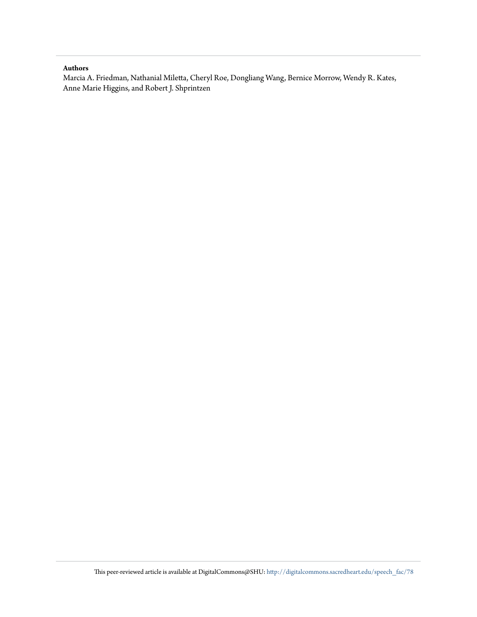## **Authors**

Marcia A. Friedman, Nathanial Miletta, Cheryl Roe, Dongliang Wang, Bernice Morrow, Wendy R. Kates, Anne Marie Higgins, and Robert J. Shprintzen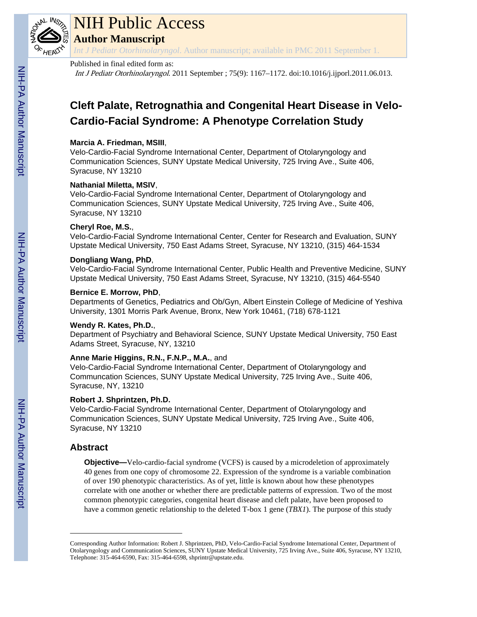

# NIH Public Access

**Author Manuscript**

*Int J Pediatr Otorhinolaryngol*. Author manuscript; available in PMC 2011 September 1.

## Published in final edited form as:

Int J Pediatr Otorhinolaryngol. 2011 September ; 75(9): 1167–1172. doi:10.1016/j.ijporl.2011.06.013.

## **Cleft Palate, Retrognathia and Congenital Heart Disease in Velo-Cardio-Facial Syndrome: A Phenotype Correlation Study**

## **Marcia A. Friedman, MSIII**,

Velo-Cardio-Facial Syndrome International Center, Department of Otolaryngology and Communication Sciences, SUNY Upstate Medical University, 725 Irving Ave., Suite 406, Syracuse, NY 13210

## **Nathanial Miletta, MSIV**,

Velo-Cardio-Facial Syndrome International Center, Department of Otolaryngology and Communication Sciences, SUNY Upstate Medical University, 725 Irving Ave., Suite 406, Syracuse, NY 13210

## **Cheryl Roe, M.S.**,

Velo-Cardio-Facial Syndrome International Center, Center for Research and Evaluation, SUNY Upstate Medical University, 750 East Adams Street, Syracuse, NY 13210, (315) 464-1534

## **Dongliang Wang, PhD**,

Velo-Cardio-Facial Syndrome International Center, Public Health and Preventive Medicine, SUNY Upstate Medical University, 750 East Adams Street, Syracuse, NY 13210, (315) 464-5540

## **Bernice E. Morrow, PhD**,

Departments of Genetics, Pediatrics and Ob/Gyn, Albert Einstein College of Medicine of Yeshiva University, 1301 Morris Park Avenue, Bronx, New York 10461, (718) 678-1121

## **Wendy R. Kates, Ph.D.**,

Department of Psychiatry and Behavioral Science, SUNY Upstate Medical University, 750 East Adams Street, Syracuse, NY, 13210

## **Anne Marie Higgins, R.N., F.N.P., M.A.**, and

Velo-Cardio-Facial Syndrome International Center, Department of Otolaryngology and Communcation Sciences, SUNY Upstate Medical University, 725 Irving Ave., Suite 406, Syracuse, NY, 13210

## **Robert J. Shprintzen, Ph.D.**

Velo-Cardio-Facial Syndrome International Center, Department of Otolaryngology and Communication Sciences, SUNY Upstate Medical University, 725 Irving Ave., Suite 406, Syracuse, NY 13210

## **Abstract**

**Objective—**Velo-cardio-facial syndrome (VCFS) is caused by a microdeletion of approximately 40 genes from one copy of chromosome 22. Expression of the syndrome is a variable combination of over 190 phenotypic characteristics. As of yet, little is known about how these phenotypes correlate with one another or whether there are predictable patterns of expression. Two of the most common phenotypic categories, congenital heart disease and cleft palate, have been proposed to have a common genetic relationship to the deleted T-box 1 gene (*TBX1*). The purpose of this study

Corresponding Author Information: Robert J. Shprintzen, PhD, Velo-Cardio-Facial Syndrome International Center, Department of Otolaryngology and Communication Sciences, SUNY Upstate Medical University, 725 Irving Ave., Suite 406, Syracuse, NY 13210, Telephone: 315-464-6590, Fax: 315-464-6598, shprintr@upstate.edu.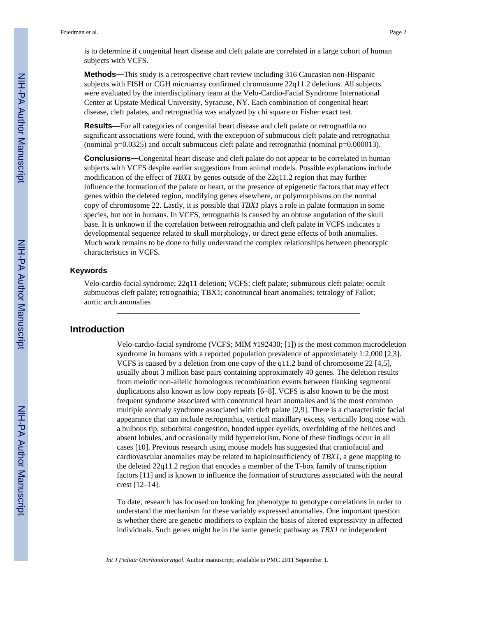is to determine if congenital heart disease and cleft palate are correlated in a large cohort of human subjects with VCFS.

**Methods—**This study is a retrospective chart review including 316 Caucasian non-Hispanic subjects with FISH or CGH microarray confirmed chromosome 22q11.2 deletions. All subjects were evaluated by the interdisciplinary team at the Velo-Cardio-Facial Syndrome International Center at Upstate Medical University, Syracuse, NY. Each combination of congenital heart disease, cleft palates, and retrognathia was analyzed by chi square or Fisher exact test.

**Results—**For all categories of congenital heart disease and cleft palate or retrognathia no significant associations were found, with the exception of submucous cleft palate and retrognathia (nominal p=0.0325) and occult submucous cleft palate and retrognathia (nominal p=0.000013).

**Conclusions—**Congenital heart disease and cleft palate do not appear to be correlated in human subjects with VCFS despite earlier suggestions from animal models. Possible explanations include modification of the effect of *TBX1* by genes outside of the 22q11.2 region that may further influence the formation of the palate or heart, or the presence of epigenetic factors that may effect genes within the deleted region, modifying genes elsewhere, or polymorphisms on the normal copy of chromosome 22. Lastly, it is possible that *TBX1* plays a role in palate formation in some species, but not in humans. In VCFS, retrognathia is caused by an obtuse angulation of the skull base. It is unknown if the correlation between retrognathia and cleft palate in VCFS indicates a developmental sequence related to skull morphology, or direct gene effects of both anomalies. Much work remains to be done to fully understand the complex relationships between phenotypic characteristics in VCFS.

### **Keywords**

Velo-cardio-facial syndrome; 22q11 deletion; VCFS; cleft palate; submucous cleft palate; occult submucous cleft palate; retrognathia; TBX1; conotruncal heart anomalies; tetralogy of Fallot; aortic arch anomalies

## **Introduction**

Velo-cardio-facial syndrome (VCFS; MIM #192430; [1]) is the most common microdeletion syndrome in humans with a reported population prevalence of approximately 1:2,000 [2,3]. VCFS is caused by a deletion from one copy of the q11.2 band of chromosome 22 [4,5], usually about 3 million base pairs containing approximately 40 genes. The deletion results from meiotic non-allelic homologous recombination events between flanking segmental duplications also known as low copy repeats [6–8]. VCFS is also known to be the most frequent syndrome associated with conotruncal heart anomalies and is the most common multiple anomaly syndrome associated with cleft palate [2,9]. There is a characteristic facial appearance that can include retrognathia, vertical maxillary excess, vertically long nose with a bulbous tip, suborbital congestion, hooded upper eyelids, overfolding of the helices and absent lobules, and occasionally mild hypertelorism. None of these findings occur in all cases [10]. Previous research using mouse models has suggested that craniofacial and cardiovascular anomalies may be related to haploinsufficiency of *TBX1*, a gene mapping to the deleted 22q11.2 region that encodes a member of the T-box family of transcription factors [11] and is known to influence the formation of structures associated with the neural crest [12–14].

To date, research has focused on looking for phenotype to genotype correlations in order to understand the mechanism for these variably expressed anomalies. One important question is whether there are genetic modifiers to explain the basis of altered expressivity in affected individuals. Such genes might be in the same genetic pathway as *TBX1* or independent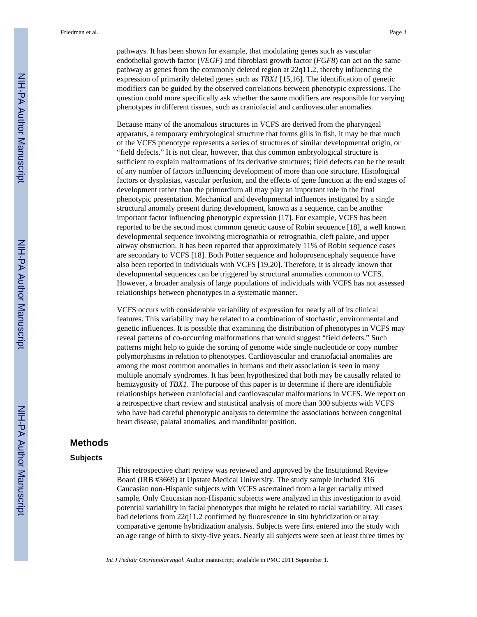pathways. It has been shown for example, that modulating genes such as vascular endothelial growth factor (*VEGF)* and fibroblast growth factor (*FGF8*) can act on the same pathway as genes from the commonly deleted region at 22q11.2, thereby influencing the expression of primarily deleted genes such as *TBX1* [15,16]. The identification of genetic modifiers can be guided by the observed correlations between phenotypic expressions. The question could more specifically ask whether the same modifiers are responsible for varying phenotypes in different tissues, such as craniofacial and cardiovascular anomalies.

Because many of the anomalous structures in VCFS are derived from the pharyngeal apparatus, a temporary embryological structure that forms gills in fish, it may be that much of the VCFS phenotype represents a series of structures of similar developmental origin, or "field defects." It is not clear, however, that this common embryological structure is sufficient to explain malformations of its derivative structures; field defects can be the result of any number of factors influencing development of more than one structure. Histological factors or dysplasias, vascular perfusion, and the effects of gene function at the end stages of development rather than the primordium all may play an important role in the final phenotypic presentation. Mechanical and developmental influences instigated by a single structural anomaly present during development, known as a sequence, can be another important factor influencing phenotypic expression [17]. For example, VCFS has been reported to be the second most common genetic cause of Robin sequence [18], a well known developmental sequence involving micrognathia or retrognathia, cleft palate, and upper airway obstruction. It has been reported that approximately 11% of Robin sequence cases are secondary to VCFS [18]. Both Potter sequence and holoprosencephaly sequence have also been reported in individuals with VCFS [19,20]. Therefore, it is already known that developmental sequences can be triggered by structural anomalies common to VCFS. However, a broader analysis of large populations of individuals with VCFS has not assessed relationships between phenotypes in a systematic manner.

VCFS occurs with considerable variability of expression for nearly all of its clinical features. This variability may be related to a combination of stochastic, environmental and genetic influences. It is possible that examining the distribution of phenotypes in VCFS may reveal patterns of co-occurring malformations that would suggest "field defects." Such patterns might help to guide the sorting of genome wide single nucleotide or copy number polymorphisms in relation to phenotypes. Cardiovascular and craniofacial anomalies are among the most common anomalies in humans and their association is seen in many multiple anomaly syndromes. It has been hypothesized that both may be causally related to hemizygosity of *TBX1*. The purpose of this paper is to determine if there are identifiable relationships between craniofacial and cardiovascular malformations in VCFS. We report on a retrospective chart review and statistical analysis of more than 300 subjects with VCFS who have had careful phenotypic analysis to determine the associations between congenital heart disease, palatal anomalies, and mandibular position.

## **Methods**

### **Subjects**

This retrospective chart review was reviewed and approved by the Institutional Review Board (IRB #3669) at Upstate Medical University. The study sample included 316 Caucasian non-Hispanic subjects with VCFS ascertained from a larger racially mixed sample. Only Caucasian non-Hispanic subjects were analyzed in this investigation to avoid potential variability in facial phenotypes that might be related to racial variability. All cases had deletions from 22q11.2 confirmed by fluorescence in situ hybridization or array comparative genome hybridization analysis. Subjects were first entered into the study with an age range of birth to sixty-five years. Nearly all subjects were seen at least three times by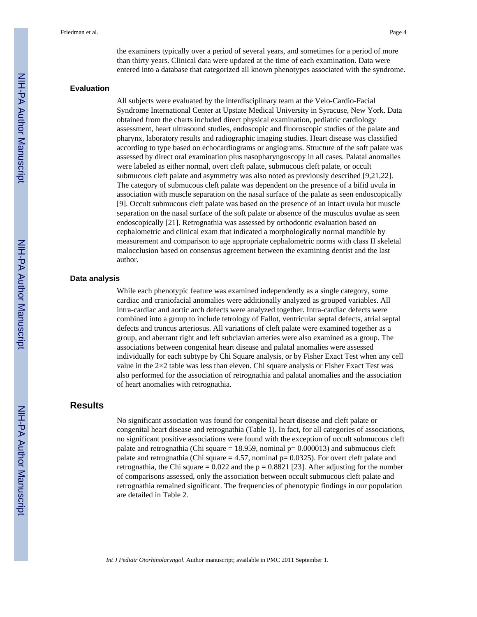the examiners typically over a period of several years, and sometimes for a period of more than thirty years. Clinical data were updated at the time of each examination. Data were entered into a database that categorized all known phenotypes associated with the syndrome.

#### **Evaluation**

All subjects were evaluated by the interdisciplinary team at the Velo-Cardio-Facial Syndrome International Center at Upstate Medical University in Syracuse, New York. Data obtained from the charts included direct physical examination, pediatric cardiology assessment, heart ultrasound studies, endoscopic and fluoroscopic studies of the palate and pharynx, laboratory results and radiographic imaging studies. Heart disease was classified according to type based on echocardiograms or angiograms. Structure of the soft palate was assessed by direct oral examination plus nasopharyngoscopy in all cases. Palatal anomalies were labeled as either normal, overt cleft palate, submucous cleft palate, or occult submucous cleft palate and asymmetry was also noted as previously described [9,21,22]. The category of submucous cleft palate was dependent on the presence of a bifid uvula in association with muscle separation on the nasal surface of the palate as seen endoscopically [9]. Occult submucous cleft palate was based on the presence of an intact uvula but muscle separation on the nasal surface of the soft palate or absence of the musculus uvulae as seen endoscopically [21]. Retrognathia was assessed by orthodontic evaluation based on cephalometric and clinical exam that indicated a morphologically normal mandible by measurement and comparison to age appropriate cephalometric norms with class II skeletal malocclusion based on consensus agreement between the examining dentist and the last author.

#### **Data analysis**

While each phenotypic feature was examined independently as a single category, some cardiac and craniofacial anomalies were additionally analyzed as grouped variables. All intra-cardiac and aortic arch defects were analyzed together. Intra-cardiac defects were combined into a group to include tetrology of Fallot, ventricular septal defects, atrial septal defects and truncus arteriosus. All variations of cleft palate were examined together as a group, and aberrant right and left subclavian arteries were also examined as a group. The associations between congenital heart disease and palatal anomalies were assessed individually for each subtype by Chi Square analysis, or by Fisher Exact Test when any cell value in the 2×2 table was less than eleven. Chi square analysis or Fisher Exact Test was also performed for the association of retrognathia and palatal anomalies and the association of heart anomalies with retrognathia.

## **Results**

No significant association was found for congenital heart disease and cleft palate or congenital heart disease and retrognathia (Table 1). In fact, for all categories of associations, no significant positive associations were found with the exception of occult submucous cleft palate and retrognathia (Chi square  $= 18.959$ , nominal  $p= 0.000013$ ) and submucous cleft palate and retrognathia (Chi square  $= 4.57$ , nominal  $p= 0.0325$ ). For overt cleft palate and retrognathia, the Chi square =  $0.022$  and the p = 0.8821 [23]. After adjusting for the number of comparisons assessed, only the association between occult submucous cleft palate and retrognathia remained significant. The frequencies of phenotypic findings in our population are detailed in Table 2.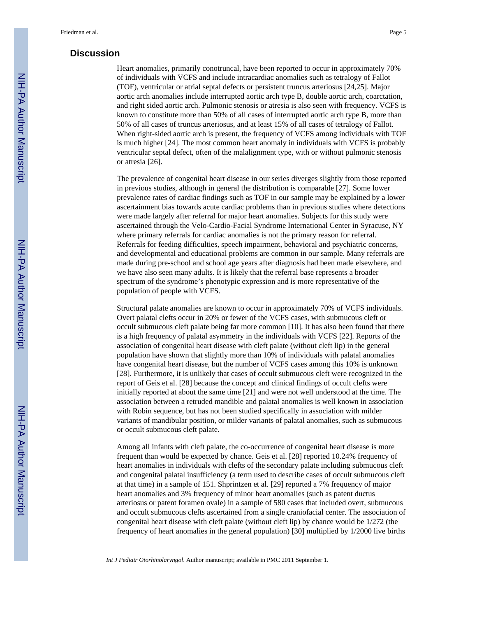## **Discussion**

Heart anomalies, primarily conotruncal, have been reported to occur in approximately 70% of individuals with VCFS and include intracardiac anomalies such as tetralogy of Fallot (TOF), ventricular or atrial septal defects or persistent truncus arteriosus [24,25]. Major aortic arch anomalies include interrupted aortic arch type B, double aortic arch, coarctation, and right sided aortic arch. Pulmonic stenosis or atresia is also seen with frequency. VCFS is known to constitute more than 50% of all cases of interrupted aortic arch type B, more than 50% of all cases of truncus arteriosus, and at least 15% of all cases of tetralogy of Fallot. When right-sided aortic arch is present, the frequency of VCFS among individuals with TOF is much higher [24]. The most common heart anomaly in individuals with VCFS is probably ventricular septal defect, often of the malalignment type, with or without pulmonic stenosis or atresia [26].

The prevalence of congenital heart disease in our series diverges slightly from those reported in previous studies, although in general the distribution is comparable [27]. Some lower prevalence rates of cardiac findings such as TOF in our sample may be explained by a lower ascertainment bias towards acute cardiac problems than in previous studies where detections were made largely after referral for major heart anomalies. Subjects for this study were ascertained through the Velo-Cardio-Facial Syndrome International Center in Syracuse, NY where primary referrals for cardiac anomalies is not the primary reason for referral. Referrals for feeding difficulties, speech impairment, behavioral and psychiatric concerns, and developmental and educational problems are common in our sample. Many referrals are made during pre-school and school age years after diagnosis had been made elsewhere, and we have also seen many adults. It is likely that the referral base represents a broader spectrum of the syndrome's phenotypic expression and is more representative of the population of people with VCFS.

Structural palate anomalies are known to occur in approximately 70% of VCFS individuals. Overt palatal clefts occur in 20% or fewer of the VCFS cases, with submucous cleft or occult submucous cleft palate being far more common [10]. It has also been found that there is a high frequency of palatal asymmetry in the individuals with VCFS [22]. Reports of the association of congenital heart disease with cleft palate (without cleft lip) in the general population have shown that slightly more than 10% of individuals with palatal anomalies have congenital heart disease, but the number of VCFS cases among this 10% is unknown [28]. Furthermore, it is unlikely that cases of occult submucous cleft were recognized in the report of Geis et al. [28] because the concept and clinical findings of occult clefts were initially reported at about the same time [21] and were not well understood at the time. The association between a retruded mandible and palatal anomalies is well known in association with Robin sequence, but has not been studied specifically in association with milder variants of mandibular position, or milder variants of palatal anomalies, such as submucous or occult submucous cleft palate.

Among all infants with cleft palate, the co-occurrence of congenital heart disease is more frequent than would be expected by chance. Geis et al. [28] reported 10.24% frequency of heart anomalies in individuals with clefts of the secondary palate including submucous cleft and congenital palatal insufficiency (a term used to describe cases of occult submucous cleft at that time) in a sample of 151. Shprintzen et al. [29] reported a 7% frequency of major heart anomalies and 3% frequency of minor heart anomalies (such as patent ductus arteriosus or patent foramen ovale) in a sample of 580 cases that included overt, submucous and occult submucous clefts ascertained from a single craniofacial center. The association of congenital heart disease with cleft palate (without cleft lip) by chance would be 1/272 (the frequency of heart anomalies in the general population) [30] multiplied by 1/2000 live births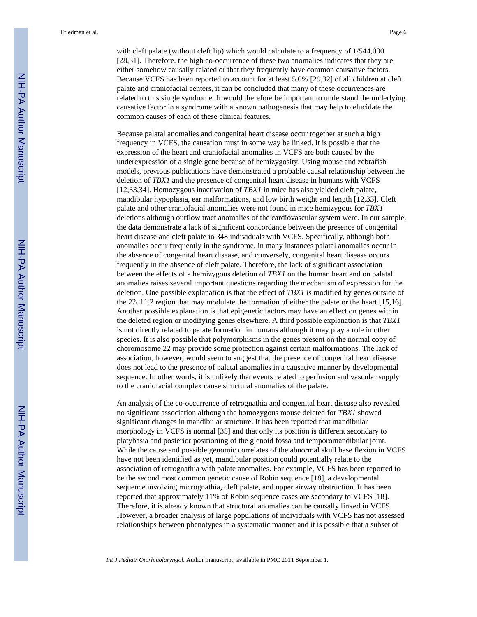Friedman et al. Page 6

with cleft palate (without cleft lip) which would calculate to a frequency of 1/544,000 [28,31]. Therefore, the high co-occurrence of these two anomalies indicates that they are either somehow causally related or that they frequently have common causative factors. Because VCFS has been reported to account for at least 5.0% [29,32] of all children at cleft palate and craniofacial centers, it can be concluded that many of these occurrences are related to this single syndrome. It would therefore be important to understand the underlying causative factor in a syndrome with a known pathogenesis that may help to elucidate the common causes of each of these clinical features.

Because palatal anomalies and congenital heart disease occur together at such a high frequency in VCFS, the causation must in some way be linked. It is possible that the expression of the heart and craniofacial anomalies in VCFS are both caused by the underexpression of a single gene because of hemizygosity. Using mouse and zebrafish models, previous publications have demonstrated a probable causal relationship between the deletion of *TBX1* and the presence of congenital heart disease in humans with VCFS [12,33,34]. Homozygous inactivation of *TBX1* in mice has also yielded cleft palate, mandibular hypoplasia, ear malformations, and low birth weight and length [12,33]. Cleft palate and other craniofacial anomalies were not found in mice hemizygous for *TBX1* deletions although outflow tract anomalies of the cardiovascular system were. In our sample, the data demonstrate a lack of significant concordance between the presence of congenital heart disease and cleft palate in 348 individuals with VCFS. Specifically, although both anomalies occur frequently in the syndrome, in many instances palatal anomalies occur in the absence of congenital heart disease, and conversely, congenital heart disease occurs frequently in the absence of cleft palate. Therefore, the lack of significant association between the effects of a hemizygous deletion of *TBX1* on the human heart and on palatal anomalies raises several important questions regarding the mechanism of expression for the deletion. One possible explanation is that the effect of *TBX1* is modified by genes outside of the 22q11.2 region that may modulate the formation of either the palate or the heart [15,16]. Another possible explanation is that epigenetic factors may have an effect on genes within the deleted region or modifying genes elsewhere. A third possible explanation is that *TBX1* is not directly related to palate formation in humans although it may play a role in other species. It is also possible that polymorphisms in the genes present on the normal copy of choromosome 22 may provide some protection against certain malformations. The lack of association, however, would seem to suggest that the presence of congenital heart disease does not lead to the presence of palatal anomalies in a causative manner by developmental sequence. In other words, it is unlikely that events related to perfusion and vascular supply to the craniofacial complex cause structural anomalies of the palate.

An analysis of the co-occurrence of retrognathia and congenital heart disease also revealed no significant association although the homozygous mouse deleted for *TBX1* showed significant changes in mandibular structure. It has been reported that mandibular morphology in VCFS is normal [35] and that only its position is different secondary to platybasia and posterior positioning of the glenoid fossa and temporomandibular joint. While the cause and possible genomic correlates of the abnormal skull base flexion in VCFS have not been identified as yet, mandibular position could potentially relate to the association of retrognathia with palate anomalies. For example, VCFS has been reported to be the second most common genetic cause of Robin sequence [18], a developmental sequence involving micrognathia, cleft palate, and upper airway obstruction. It has been reported that approximately 11% of Robin sequence cases are secondary to VCFS [18]. Therefore, it is already known that structural anomalies can be causally linked in VCFS. However, a broader analysis of large populations of individuals with VCFS has not assessed relationships between phenotypes in a systematic manner and it is possible that a subset of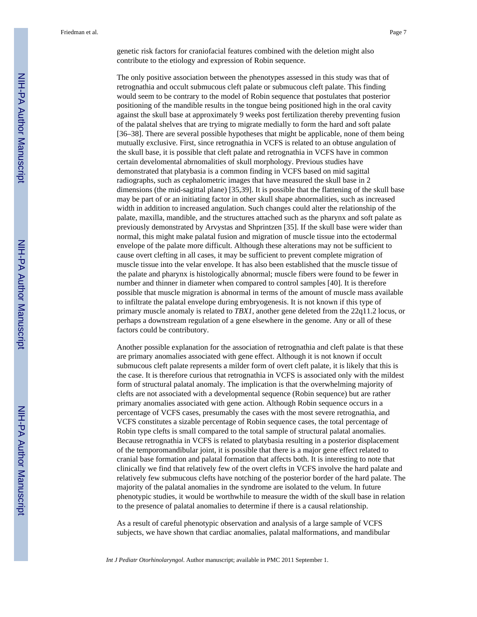genetic risk factors for craniofacial features combined with the deletion might also contribute to the etiology and expression of Robin sequence.

The only positive association between the phenotypes assessed in this study was that of retrognathia and occult submucous cleft palate or submucous cleft palate. This finding would seem to be contrary to the model of Robin sequence that postulates that posterior positioning of the mandible results in the tongue being positioned high in the oral cavity against the skull base at approximately 9 weeks post fertilization thereby preventing fusion of the palatal shelves that are trying to migrate medially to form the hard and soft palate [36–38]. There are several possible hypotheses that might be applicable, none of them being mutually exclusive. First, since retrognathia in VCFS is related to an obtuse angulation of the skull base, it is possible that cleft palate and retrognathia in VCFS have in common certain develomental abrnomalities of skull morphology. Previous studies have demonstrated that platybasia is a common finding in VCFS based on mid sagittal radiographs, such as cephalometric images that have measured the skull base in 2 dimensions (the mid-sagittal plane) [35,39]. It is possible that the flattening of the skull base may be part of or an initiating factor in other skull shape abnormalities, such as increased width in addition to increased angulation. Such changes could alter the relationship of the palate, maxilla, mandible, and the structures attached such as the pharynx and soft palate as previously demonstrated by Arvystas and Shprintzen [35]. If the skull base were wider than normal, this might make palatal fusion and migration of muscle tissue into the ectodermal envelope of the palate more difficult. Although these alterations may not be sufficient to cause overt clefting in all cases, it may be sufficient to prevent complete migration of muscle tissue into the velar envelope. It has also been established that the muscle tissue of the palate and pharynx is histologically abnormal; muscle fibers were found to be fewer in number and thinner in diameter when compared to control samples [40]. It is therefore possible that muscle migration is abnormal in terms of the amount of muscle mass available to infiltrate the palatal envelope during embryogenesis. It is not known if this type of primary muscle anomaly is related to *TBX1*, another gene deleted from the 22q11.2 locus, or perhaps a downstream regulation of a gene elsewhere in the genome. Any or all of these factors could be contributory.

Another possible explanation for the association of retrognathia and cleft palate is that these are primary anomalies associated with gene effect. Although it is not known if occult submucous cleft palate represents a milder form of overt cleft palate, it is likely that this is the case. It is therefore curious that retrognathia in VCFS is associated only with the mildest form of structural palatal anomaly. The implication is that the overwhelming majority of clefts are not associated with a developmental sequence (Robin sequence) but are rather primary anomalies associated with gene action. Although Robin sequence occurs in a percentage of VCFS cases, presumably the cases with the most severe retrognathia, and VCFS constitutes a sizable percentage of Robin sequence cases, the total percentage of Robin type clefts is small compared to the total sample of structural palatal anomalies. Because retrognathia in VCFS is related to platybasia resulting in a posterior displacement of the temporomandibular joint, it is possible that there is a major gene effect related to cranial base formation and palatal formation that affects both. It is interesting to note that clinically we find that relatively few of the overt clefts in VCFS involve the hard palate and relatively few submucous clefts have notching of the posterior border of the hard palate. The majority of the palatal anomalies in the syndrome are isolated to the velum. In future phenotypic studies, it would be worthwhile to measure the width of the skull base in relation to the presence of palatal anomalies to determine if there is a causal relationship.

As a result of careful phenotypic observation and analysis of a large sample of VCFS subjects, we have shown that cardiac anomalies, palatal malformations, and mandibular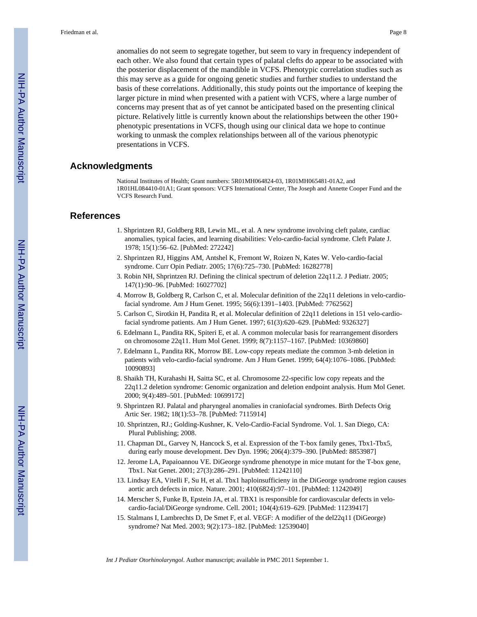anomalies do not seem to segregate together, but seem to vary in frequency independent of each other. We also found that certain types of palatal clefts do appear to be associated with the posterior displacement of the mandible in VCFS. Phenotypic correlation studies such as this may serve as a guide for ongoing genetic studies and further studies to understand the basis of these correlations. Additionally, this study points out the importance of keeping the larger picture in mind when presented with a patient with VCFS, where a large number of concerns may present that as of yet cannot be anticipated based on the presenting clinical picture. Relatively little is currently known about the relationships between the other 190+ phenotypic presentations in VCFS, though using our clinical data we hope to continue working to unmask the complex relationships between all of the various phenotypic presentations in VCFS.

## **Acknowledgments**

National Institutes of Health; Grant numbers: 5R01MH064824-03, 1R01MH065481-01A2, and 1R01HL084410-01A1; Grant sponsors: VCFS International Center, The Joseph and Annette Cooper Fund and the VCFS Research Fund.

## **References**

- 1. Shprintzen RJ, Goldberg RB, Lewin ML, et al. A new syndrome involving cleft palate, cardiac anomalies, typical facies, and learning disabilities: Velo-cardio-facial syndrome. Cleft Palate J. 1978; 15(1):56–62. [PubMed: 272242]
- 2. Shprintzen RJ, Higgins AM, Antshel K, Fremont W, Roizen N, Kates W. Velo-cardio-facial syndrome. Curr Opin Pediatr. 2005; 17(6):725–730. [PubMed: 16282778]
- 3. Robin NH, Shprintzen RJ. Defining the clinical spectrum of deletion 22q11.2. J Pediatr. 2005; 147(1):90–96. [PubMed: 16027702]
- 4. Morrow B, Goldberg R, Carlson C, et al. Molecular definition of the 22q11 deletions in velo-cardiofacial syndrome. Am J Hum Genet. 1995; 56(6):1391–1403. [PubMed: 7762562]
- 5. Carlson C, Sirotkin H, Pandita R, et al. Molecular definition of 22q11 deletions in 151 velo-cardiofacial syndrome patients. Am J Hum Genet. 1997; 61(3):620–629. [PubMed: 9326327]
- 6. Edelmann L, Pandita RK, Spiteri E, et al. A common molecular basis for rearrangement disorders on chromosome 22q11. Hum Mol Genet. 1999; 8(7):1157–1167. [PubMed: 10369860]
- 7. Edelmann L, Pandita RK, Morrow BE. Low-copy repeats mediate the common 3-mb deletion in patients with velo-cardio-facial syndrome. Am J Hum Genet. 1999; 64(4):1076–1086. [PubMed: 10090893]
- 8. Shaikh TH, Kurahashi H, Saitta SC, et al. Chromosome 22-specific low copy repeats and the 22q11.2 deletion syndrome: Genomic organization and deletion endpoint analysis. Hum Mol Genet. 2000; 9(4):489–501. [PubMed: 10699172]
- 9. Shprintzen RJ. Palatal and pharyngeal anomalies in craniofacial syndromes. Birth Defects Orig Artic Ser. 1982; 18(1):53–78. [PubMed: 7115914]
- 10. Shprintzen, RJ.; Golding-Kushner, K. Velo-Cardio-Facial Syndrome. Vol. 1. San Diego, CA: Plural Publishing; 2008.
- 11. Chapman DL, Garvey N, Hancock S, et al. Expression of the T-box family genes, Tbx1-Tbx5, during early mouse development. Dev Dyn. 1996; 206(4):379–390. [PubMed: 8853987]
- 12. Jerome LA, Papaioannou VE. DiGeorge syndrome phenotype in mice mutant for the T-box gene, Tbx1. Nat Genet. 2001; 27(3):286–291. [PubMed: 11242110]
- 13. Lindsay EA, Vitelli F, Su H, et al. Tbx1 haploinsufficieny in the DiGeorge syndrome region causes aortic arch defects in mice. Nature. 2001; 410(6824):97–101. [PubMed: 11242049]
- 14. Merscher S, Funke B, Epstein JA, et al. TBX1 is responsible for cardiovascular defects in velocardio-facial/DiGeorge syndrome. Cell. 2001; 104(4):619–629. [PubMed: 11239417]
- 15. Stalmans I, Lambrechts D, De Smet F, et al. VEGF: A modifier of the del22q11 (DiGeorge) syndrome? Nat Med. 2003; 9(2):173–182. [PubMed: 12539040]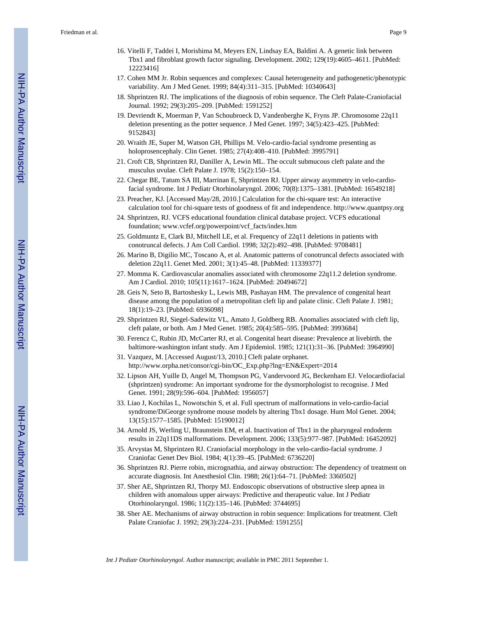- Tbx1 and fibroblast growth factor signaling. Development. 2002; 129(19):4605–4611. [PubMed: 12223416]
- 17. Cohen MM Jr. Robin sequences and complexes: Causal heterogeneity and pathogenetic/phenotypic variability. Am J Med Genet. 1999; 84(4):311–315. [PubMed: 10340643]
- 18. Shprintzen RJ. The implications of the diagnosis of robin sequence. The Cleft Palate-Craniofacial Journal. 1992; 29(3):205–209. [PubMed: 1591252]
- 19. Devriendt K, Moerman P, Van Schoubroeck D, Vandenberghe K, Fryns JP. Chromosome 22q11 deletion presenting as the potter sequence. J Med Genet. 1997; 34(5):423–425. [PubMed: 9152843]
- 20. Wraith JE, Super M, Watson GH, Phillips M. Velo-cardio-facial syndrome presenting as holoprosencephaly. Clin Genet. 1985; 27(4):408–410. [PubMed: 3995791]
- 21. Croft CB, Shprintzen RJ, Daniller A, Lewin ML. The occult submucous cleft palate and the musculus uvulae. Cleft Palate J. 1978; 15(2):150–154.
- 22. Chegar BE, Tatum SA III, Marrinan E, Shprintzen RJ. Upper airway asymmetry in velo-cardiofacial syndrome. Int J Pediatr Otorhinolaryngol. 2006; 70(8):1375–1381. [PubMed: 16549218]
- 23. Preacher, KJ. [Accessed May/28, 2010.] Calculation for the chi-square test: An interactive calculation tool for chi-square tests of goodness of fit and independence.<http://www.quantpsy.org>
- 24. Shprintzen, RJ. VCFS educational foundation clinical database project. VCFS educational foundation; www.vcfef.org/powerpoint/vcf\_facts/index.htm
- 25. Goldmuntz E, Clark BJ, Mitchell LE, et al. Frequency of 22q11 deletions in patients with conotruncal defects. J Am Coll Cardiol. 1998; 32(2):492–498. [PubMed: 9708481]
- 26. Marino B, Digilio MC, Toscano A, et al. Anatomic patterns of conotruncal defects associated with deletion 22q11. Genet Med. 2001; 3(1):45–48. [PubMed: 11339377]
- 27. Momma K. Cardiovascular anomalies associated with chromosome 22q11.2 deletion syndrome. Am J Cardiol. 2010; 105(11):1617–1624. [PubMed: 20494672]
- 28. Geis N, Seto B, Bartoshesky L, Lewis MB, Pashayan HM. The prevalence of congenital heart disease among the population of a metropolitan cleft lip and palate clinic. Cleft Palate J. 1981; 18(1):19–23. [PubMed: 6936098]
- 29. Shprintzen RJ, Siegel-Sadewitz VL, Amato J, Goldberg RB. Anomalies associated with cleft lip, cleft palate, or both. Am J Med Genet. 1985; 20(4):585–595. [PubMed: 3993684]
- 30. Ferencz C, Rubin JD, McCarter RJ, et al. Congenital heart disease: Prevalence at livebirth. the baltimore-washington infant study. Am J Epidemiol. 1985; 121(1):31–36. [PubMed: 3964990]
- 31. Vazquez, M. [Accessed August/13, 2010.] Cleft palate orphanet. [http://www.orpha.net/consor/cgi-bin/OC\\_Exp.php?lng=EN&Expert=2014](http://www.orpha.net/consor/cgi-bin/OC_Exp.php?lng=EN&Expert=2014)
- 32. Lipson AH, Yuille D, Angel M, Thompson PG, Vandervoord JG, Beckenham EJ. Velocardiofacial (shprintzen) syndrome: An important syndrome for the dysmorphologist to recognise. J Med Genet. 1991; 28(9):596–604. [PubMed: 1956057]
- 33. Liao J, Kochilas L, Nowotschin S, et al. Full spectrum of malformations in velo-cardio-facial syndrome/DiGeorge syndrome mouse models by altering Tbx1 dosage. Hum Mol Genet. 2004; 13(15):1577–1585. [PubMed: 15190012]
- 34. Arnold JS, Werling U, Braunstein EM, et al. Inactivation of Tbx1 in the pharyngeal endoderm results in 22q11DS malformations. Development. 2006; 133(5):977–987. [PubMed: 16452092]
- 35. Arvystas M, Shprintzen RJ. Craniofacial morphology in the velo-cardio-facial syndrome. J Craniofac Genet Dev Biol. 1984; 4(1):39–45. [PubMed: 6736220]
- 36. Shprintzen RJ. Pierre robin, micrognathia, and airway obstruction: The dependency of treatment on accurate diagnosis. Int Anesthesiol Clin. 1988; 26(1):64–71. [PubMed: 3360502]
- 37. Sher AE, Shprintzen RJ, Thorpy MJ. Endoscopic observations of obstructive sleep apnea in children with anomalous upper airways: Predictive and therapeutic value. Int J Pediatr Otorhinolaryngol. 1986; 11(2):135–146. [PubMed: 3744695]
- 38. Sher AE. Mechanisms of airway obstruction in robin sequence: Implications for treatment. Cleft Palate Craniofac J. 1992; 29(3):224–231. [PubMed: 1591255]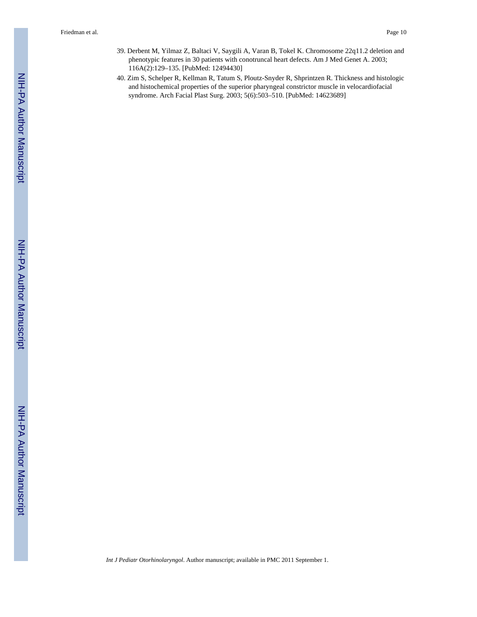- 39. Derbent M, Yilmaz Z, Baltaci V, Saygili A, Varan B, Tokel K. Chromosome 22q11.2 deletion and phenotypic features in 30 patients with conotruncal heart defects. Am J Med Genet A. 2003; 116A(2):129–135. [PubMed: 12494430]
- 40. Zim S, Schelper R, Kellman R, Tatum S, Ploutz-Snyder R, Shprintzen R. Thickness and histologic and histochemical properties of the superior pharyngeal constrictor muscle in velocardiofacial syndrome. Arch Facial Plast Surg. 2003; 5(6):503–510. [PubMed: 14623689]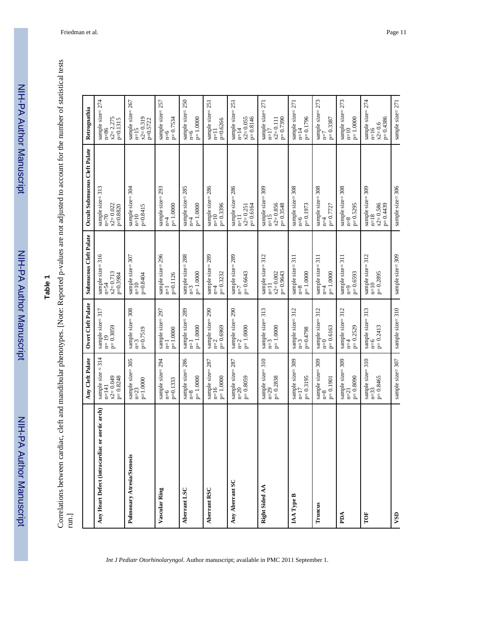| <b>HULLOID</b> |  |
|----------------|--|
|                |  |
|                |  |
|                |  |
|                |  |
|                |  |
|                |  |
|                |  |
|                |  |
|                |  |
|                |  |
| i              |  |
|                |  |
| l              |  |
|                |  |
|                |  |
|                |  |
|                |  |
| $rac{c}{1}$    |  |
|                |  |
|                |  |
|                |  |
|                |  |
|                |  |
|                |  |

| - 04040410404                                                                      |                         |
|------------------------------------------------------------------------------------|-------------------------|
|                                                                                    |                         |
|                                                                                    |                         |
|                                                                                    |                         |
|                                                                                    |                         |
| j                                                                                  |                         |
|                                                                                    |                         |
|                                                                                    |                         |
|                                                                                    |                         |
|                                                                                    |                         |
|                                                                                    |                         |
|                                                                                    |                         |
| in provincial control in the control                                               |                         |
|                                                                                    |                         |
|                                                                                    |                         |
|                                                                                    |                         |
|                                                                                    |                         |
|                                                                                    |                         |
|                                                                                    |                         |
|                                                                                    |                         |
|                                                                                    |                         |
| to: <b>Doportod</b> is stolling are not adjusted to account tor the number of<br>, |                         |
|                                                                                    |                         |
| l                                                                                  |                         |
|                                                                                    |                         |
| $\frac{1}{2}$<br>ļ                                                                 |                         |
|                                                                                    |                         |
|                                                                                    |                         |
|                                                                                    |                         |
|                                                                                    |                         |
|                                                                                    |                         |
|                                                                                    |                         |
|                                                                                    |                         |
|                                                                                    |                         |
| an mondanion<br>5                                                                  |                         |
|                                                                                    |                         |
|                                                                                    |                         |
| ו<br>ו                                                                             |                         |
| i                                                                                  |                         |
|                                                                                    |                         |
|                                                                                    |                         |
|                                                                                    |                         |
| i                                                                                  |                         |
|                                                                                    |                         |
|                                                                                    |                         |
|                                                                                    |                         |
|                                                                                    | $\frac{1}{3}$<br>i<br>F |

|                                                | Any Cleft Palate                                           | Overt Cleft Palate                          | Submucous Cleft Palate                                    | Occult Submucous Cleft Palate                                         | Retrognathia                                             |
|------------------------------------------------|------------------------------------------------------------|---------------------------------------------|-----------------------------------------------------------|-----------------------------------------------------------------------|----------------------------------------------------------|
| Any Heart Defect (intracardiac or aortic arch) | sample size = $314$<br>n=141<br>$p=0.8248$<br>$x2 = 0.049$ | sample size= $317$<br>n= $19$<br>$p=0.3059$ | sample size= $316$<br>n=54<br>$x2 = 0.713$<br>p=0.3984    | sample size= $313$<br>n=70<br>$x2 = 0.022$<br>p=0.8820                | sample size= $274$<br>n=86<br>$x^2 = 2.275$<br>p=0.1315  |
| Pulmonary Atresia/Stenosis                     | sample size= $305$<br>n=23<br>$p=1.0000$                   | sample size= $308$<br>n=3<br>$p=0.7519$     | sample size= $307$<br>n=10<br>p=0.8404                    | sample size= $304$<br>n=10<br>p=0.8415                                | sample size= $267$<br>n=15<br>$x2 = 0.319$<br>p=0.5722   |
| Vascular Ring                                  | sample size= $294$<br>n=6                                  | sample size= $297$<br>n=1                   | sample size= $296$<br>n=1                                 | sample size= 293<br>n=4                                               | sample size= $257$<br>n=6                                |
|                                                | $p=0.1333$                                                 | $p=1.0000$                                  | p=0.1126                                                  | $p=1.0000$                                                            | $p = 0.7534$                                             |
| Aberrant LSC                                   | sample size= $286$<br>n=8                                  | sample size= $289$<br>n=1                   | sample size= $288$<br>n=3                                 | sample size= $285$<br>$n=4$                                           | sample size= $250$<br>n=6                                |
|                                                | $p=1.0000$                                                 | $p\!\!=\!1.0000$                            | $p=1.0000$                                                | $p=1.0000$                                                            | $p=1.0000$                                               |
| Aberrant RSC                                   | sample size= $287$<br>n=16                                 | sample size= $290$<br>n= $2$                | sample size= $289$<br>n=4                                 | sample size= $286$<br>n=10                                            | sample size= $251$<br>n=11                               |
|                                                | $p=1.0000$                                                 | $p=0.6969$                                  | $p=0.3232$                                                | $p=0.3396$                                                            | $p=0.6266$                                               |
| Any Aberrant SC                                | sample size= $287$<br>n=20                                 | sample size= $290$<br>n=2                   | sample size= 289<br>$n=7$                                 | sample size= $286$<br>n=11                                            | sample size= $251$<br>n=14                               |
|                                                | $p = 0.8059$                                               | $p=1.0000$                                  | $p=0.6643$                                                | $x2 = 0.251$<br>$p= 0.6164$                                           | $x2 = 0.055$<br>$p= 0.8146$                              |
| Right Sided AA                                 | sample size= $310$<br>n=29<br>$p=0.2838$                   | sample size= $313$<br>n=3<br>$p=1.0000$     | sample size= $312$<br>n=11<br>$x2 = 0.002$<br>$p= 0.9643$ | sample size= $309$<br>n=15<br>$x2 = 0.856$<br>$p= 0.3548$             | sample size= $271$<br>n=17<br>$p=0.7390$<br>$x2 = 0.111$ |
| IAA Type B                                     | sample size= $309$<br>n=17                                 | sample size= $312$<br>n=3                   | sample size= $311$<br>$n=8$                               | sample size= $308$<br>n=6                                             | sample size= $271$<br>n=14                               |
|                                                | $p=0.3195$                                                 | $p=0.4798$                                  | $p=1.0000$                                                | $p=0.1973$                                                            | p=0.1796                                                 |
| Truncus                                        | sample size= 309<br>$n=8$                                  | sample size= $312$<br>n=0                   | sample size= $311$<br>n=4                                 | sample size= $308$<br>n=4                                             | sample size= $273$<br>n=7                                |
|                                                | $p=0.1901$                                                 | $p=0.6163$                                  | $p=1.0000$                                                | $p = 0.7727$                                                          | $p=0.3387$                                               |
| PDA                                            | sample size= 309<br>$n=21$                                 | sample size= $312$<br>n=4                   | sample size= $311$<br>n=9                                 | $\begin{array}{c} \text{sample size= } 308 \\ \text{n=8} \end{array}$ | sample size= $273$<br>n=10                               |
|                                                | $p=0.8090$                                                 | $p = 0.2529$                                | $p=0.6593$                                                | $p=0.5295$                                                            | $p=1.0000$                                               |
| TOF                                            | sample size= $310$<br>n=33<br>$p=0.8465$                   | sample size= $313$<br>n=6<br>$p=0.2413$     | sample size= $312$<br>n=10<br>$p = 0.2895$                | sample size= $309$<br>n=18<br>$x2 = 0.586$<br>$p= 0.4439$             | sample size= $274$<br>n=16<br>$p=0.4386$<br>$x2 = 0.6$   |
| VSD                                            | sample size= 307                                           | sample size=310                             | sample size= 309                                          | sample size=306                                                       | sample size=271                                          |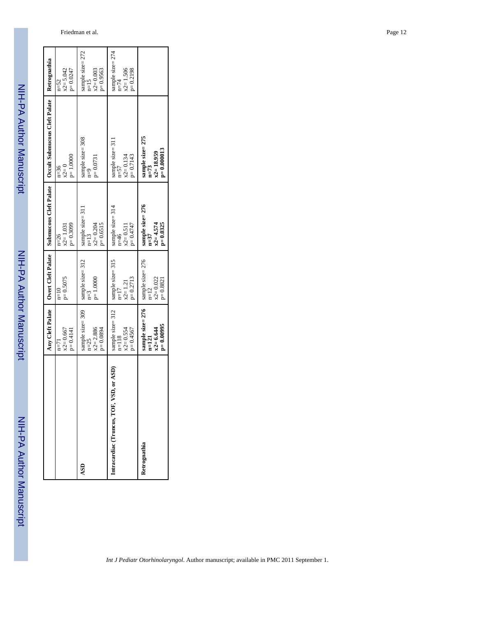|                                          | Any Cleft Palate                                           | Overt Cleft Palate                                         | Submucous Cleft Palate                                     | Occult Submucous Cleft Palate                               | Retrognathia                                             |
|------------------------------------------|------------------------------------------------------------|------------------------------------------------------------|------------------------------------------------------------|-------------------------------------------------------------|----------------------------------------------------------|
|                                          | $x2 = 0.667$<br>$p=0.4141$<br>$n = 71$                     | $p = 0.5075$<br>$n=10$                                     | $p = 0.3099$<br>$x2 = 1.031$<br>$n=26$                     | $p=1.0000$<br>$x2=0$<br>$n=36$                              | $x2 = 5.042$<br>$p = 0.0247$<br>$n=52$                   |
| ASD                                      | sample size= 309<br>$x2 = 2.886$<br>$p = 0.0894$<br>$n=25$ | sample size= 312<br>$p=1.0000$<br>$n=3$                    | sample size= 311<br>$p = 0.6515$<br>$x2 = 0.204$<br>$n=13$ | sample size= $308$<br>n=9<br>$p=0.0731$                     | sample size= $272$<br>n=15<br>$x2 = 0.003$<br>$p=0.9563$ |
| Intracardiac (Truncus, TOF, VSD, or ASD) | sample size= 312<br>$x2 = 0.554$<br>$p=0.4567$<br>$n=118$  | sample size= 315<br>$p = 0.2713$<br>$x2 = 1.21$<br>$n=17$  | sample size= 314<br>n=46<br>$p=0.4747$<br>$x2 = 0.511$     | sample size= 31<br>$p=0.7143$<br>$x2 = 0.134$<br>$n=57$     | sample size= $274$<br>n=74<br>x2= 1.506<br>$p=0.2198$    |
| Retrognathia                             | sample size= 276<br>$p=0.00995$<br>$x2 = 6.644$<br>$n=121$ | sample size= 276<br>$x2 = 0.022$<br>$p = 0.8821$<br>$n=12$ | sample size= 276<br>$x2 = 4.574$<br>$p = 0.0325$<br>$n=37$ | sample size= 275<br>$p=0.000013$<br>$x2 = 18.959$<br>$n=73$ |                                                          |

Friedman et al. Page 12

NIH-PA Author Manuscript

NIH-PA Author Manuscript

Г

NIH-PA Author Manuscript

NIH-PA Author Manuscript

NIH-PA Author Manuscript

NIH-PA Author Manuscript